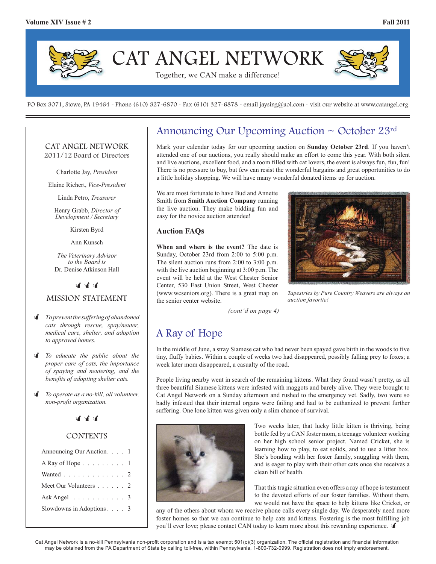

PO Box 3071, Stowe, PA 19464 - Phone (610) 327-6870 - Fax (610) 327-6878 - email jaysing@aol.com - visit our website at www.catangel.org

### CAT ANGEL NETWORK 2011/12 Board of Directors

Charlotte Jay, *President*

Elaine Richert, *Vice-President*

Linda Petro, *Treasurer*

Henry Grabb, *Director of Development / Secretary*

Kirsten Byrd

Ann Kunsch

*The Veterinary Advisor to the Board is*  Dr. Denise Atkinson Hall

<u>चं चं चं</u>

### MISSION STATEMENT

- - *To prevent the suffering of abandoned cats through rescue, spay/neuter, medical care, shelter, and adoption to approved homes.*
- $\mathbf{r}$  *To educate the public about the proper care of cats, the importance of spaying and neutering, and the benefits of adopting shelter cats.*
- $\mathbf{r}$  *To operate as a no-kill, all volunteer, non-profit organization.*

**चै थी थी** 

### **CONTENTS**

| Announcing Our Auction. 1              |  |  |
|----------------------------------------|--|--|
| A Ray of Hope $\ldots \ldots \ldots 1$ |  |  |
| Wanted 2                               |  |  |
| Meet Our Volunteers 2                  |  |  |
| Ask Angel $\ldots \ldots \ldots$ 3     |  |  |
| Slowdowns in Adoptions $\ldots$ 3      |  |  |
|                                        |  |  |

## Announcing Our Upcoming Auction ~ October 23rd

Mark your calendar today for our upcoming auction on **Sunday October 23rd**. If you haven't attended one of our auctions, you really should make an effort to come this year. With both silent and live auctions, excellent food, and a room filled with cat lovers, the event is always fun, fun, fun! There is no pressure to buy, but few can resist the wonderful bargains and great opportunities to do a little holiday shopping. We will have many wonderful donated items up for auction.

We are most fortunate to have Bud and Annette Smith from **Smith Auction Company** running the live auction. They make bidding fun and easy for the novice auction attendee!

### **Auction FAQs**

**When and where is the event?** The date is Sunday, October 23rd from 2:00 to 5:00 p.m. The silent auction runs from 2:00 to 3:00 p.m. with the live auction beginning at 3:00 p.m. The event will be held at the West Chester Senior Center, 530 East Union Street, West Chester (www.wcseniors.org). There is a great map on the senior center website.



*Tapestries by Pure Country Weavers are always an auction favorite!*

*(cont'd on page 4)*

## A Ray of Hope

In the middle of June, a stray Siamese cat who had never been spayed gave birth in the woods to five tiny, fluffy babies. Within a couple of weeks two had disappeared, possibly falling prey to foxes; a week later mom disappeared, a casualty of the road.

People living nearby went in search of the remaining kittens. What they found wasn't pretty, as all three beautiful Siamese kittens were infested with maggots and barely alive. They were brought to Cat Angel Network on a Sunday afternoon and rushed to the emergency vet. Sadly, two were so badly infested that their internal organs were failing and had to be euthanized to prevent further suffering. One lone kitten was given only a slim chance of survival.



Two weeks later, that lucky little kitten is thriving, being bottle fed by a CAN foster mom, a teenage volunteer working on her high school senior project. Named Cricket, she is learning how to play, to eat solids, and to use a litter box. She's bonding with her foster family, snuggling with them, and is eager to play with their other cats once she receives a clean bill of health.

That this tragic situation even offers a ray of hope is testament to the devoted efforts of our foster families. Without them, we would not have the space to help kittens like Cricket, or

any of the others about whom we receive phone calls every single day. We desperately need more foster homes so that we can continue to help cats and kittens. Fostering is the most fulfilling job you'll ever love; please contact CAN today to learn more about this rewarding experience.

Cat Angel Network is a no-kill Pennsylvania non-profit corporation and is a tax exempt 501(c)(3) organization. The official registration and financial information may be obtained from the PA Department of State by calling toll-free, within Pennsylvania, 1-800-732-0999. Registration does not imply endorsement.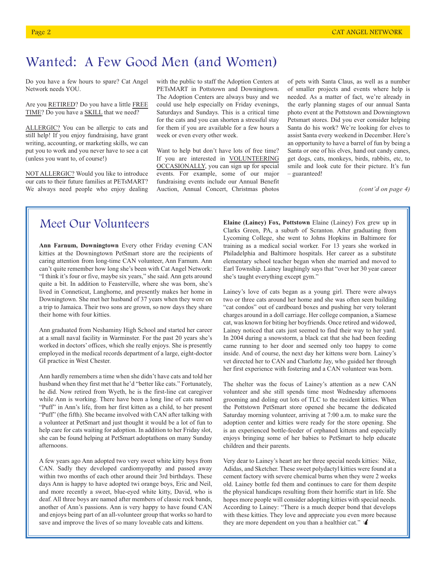# Wanted: A Few Good Men (and Women)

Do you have a few hours to spare? Cat Angel Network needs YOU.

Are you RETIRED? Do you have a little FREE TIME? Do you have a SKILL that we need?

ALLERGIC? You can be allergic to cats and still help! If you enjoy fundraising, have grant writing, accounting, or marketing skills, we can put you to work and you never have to see a cat (unless you want to, of course!)

NOT ALLERGIC? Would you like to introduce our cats to their future families at PETsMART? We always need people who enjoy dealing with the public to staff the Adoption Centers at PETsMART in Pottstown and Downingtown. The Adoption Centers are always busy and we could use help especially on Friday evenings, Saturdays and Sundays. This is a critical time for the cats and you can shorten a stressful stay for them if you are available for a few hours a week or even every other week.

Want to help but don't have lots of free time? If you are interested in VOLUNTEERING OCCASIONALLY, you can sign up for special events. For example, some of our major fundraising events include our Annual Benefit Auction, Annual Concert, Christmas photos

of pets with Santa Claus, as well as a number of smaller projects and events where help is needed. As a matter of fact, we're already in the early planning stages of our annual Santa photo event at the Pottstown and Downingtown Petsmart stores. Did you ever consider helping Santa do his work? We're looking for elves to assist Santa every weekend in December. Here's an opportunity to have a barrel of fun by being a Santa or one of his elves, hand out candy canes, get dogs, cats, monkeys, birds, rabbits, etc, to smile and look cute for their picture. It's fun – guaranteed!

*(cont'd on page 4)*

## Meet Our Volunteers

**Ann Farnum, Downingtown** Every other Friday evening CAN kitties at the Downingtown PetSmart store are the recipients of caring attention from long-time CAN volunteer, Ann Farnum. Ann can't quite remember how long she's been with Cat Angel Network: "I think it's four or five, maybe six years," she said. Ann gets around quite a bit. In addition to Feasterville, where she was born, she's lived in Conneticut, Langhorne, and presently makes her home in Downingtown. She met her husband of 37 years when they were on a trip to Jamaica. Their two sons are grown, so now days they share their home with four kitties.

Ann graduated from Neshaminy High School and started her career at a small naval facility in Warminster. For the past 20 years she's worked in doctors' offices, which she really enjoys. She is presently employed in the medical records department of a large, eight-doctor GI practice in West Chester.

Ann hardly remembers a time when she didn't have cats and told her husband when they first met that he'd "better like cats." Fortunately, he did. Now retired from Wyeth, he is the first-line cat caregiver while Ann is working. There have been a long line of cats named "Puff" in Ann's life, from her first kitten as a child, to her present "Puff" (the fifth). She became involved with CAN after talking with a volunteer at PetSmart and just thought it would be a lot of fun to help care for cats waiting for adoption. In addition to her Friday slot, she can be found helping at PetSmart adoptathons on many Sunday afternoons.

A few years ago Ann adopted two very sweet white kitty boys from CAN. Sadly they developed cardiomyopathy and passed away within two months of each other around their 3rd birthdays. These days Ann is happy to have adopted twi orange boys, Eric and Neil, and more recently a sweet, blue-eyed white kitty, David, who is deaf. All three boys are named after members of classic rock bands, another of Ann's passions. Ann is very happy to have found CAN and enjoys being part of an all-volunteer group that works so hard to save and improve the lives of so many loveable cats and kittens.

**Elaine (Lainey) Fox, Pottstown** Elaine (Lainey) Fox grew up in Clarks Green, PA, a suburb of Scranton. After graduating from Lycoming College, she went to Johns Hopkins in Baltimore for training as a medical social worker. For 13 years she worked in Philadelphia and Baltimore hospitals. Her career as a substitute elementary school teacher began when she married and moved to Earl Township. Lainey laughingly says that "over her 30 year career she's taught everything except gym."

Lainey's love of cats began as a young girl. There were always two or three cats around her home and she was often seen building "cat condos" out of cardboard boxes and pushing her very tolerant charges around in a doll carriage. Her college companion, a Siamese cat, was known for biting her boyfriends. Once retired and widowed, Lainey noticed that cats just seemed to find their way to her yard. In 2004 during a snowstorm, a black cat that she had been feeding came running to her door and seemed only too happy to come inside. And of course, the next day her kittens were born. Lainey's vet directed her to CAN and Charlotte Jay, who guided her through her first experience with fostering and a CAN volunteer was born.

The shelter was the focus of Lainey's attention as a new CAN volunteer and she still spends time most Wednesday afternoons grooming and doling out lots of TLC to the resident kitties. When the Pottstown PetSmart store opened she became the dedicated Saturday morning volunteer, arriving at 7:00 a.m. to make sure the adoption center and kitties were ready for the store opening. She is an experienced bottle-feeder of orphaned kittens and especially enjoys bringing some of her babies to PetSmart to help educate children and their parents.

Very dear to Lainey's heart are her three special needs kitties: Nike, Adidas, and Sketcher. These sweet polydactyl kitties were found at a cement factory with severe chemical burns when they were 2 weeks old. Lainey bottle fed them and continues to care for them despite the physical handicaps resulting from their horrific start in life. She hopes more people will consider adopting kitties with special needs. According to Lainey: "There is a much deeper bond that develops with these kitties. They love and appreciate you even more because they are more dependent on you than a healthier cat."  $\mathbf{\hat{I}}$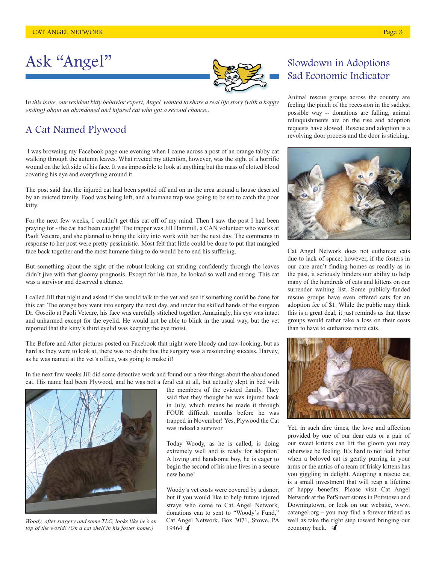

# Ask "Angel"



I*n this issue, our resident kitty behavior expert, Angel, wanted to share a real life story (with a happy ending) about an abandoned and injured cat who got a second chance.*.

### A Cat Named Plywood

 I was browsing my Facebook page one evening when I came across a post of an orange tabby cat walking through the autumn leaves. What riveted my attention, however, was the sight of a horrific wound on the left side of his face. It was impossible to look at anything but the mass of clotted blood covering his eye and everything around it.

The post said that the injured cat had been spotted off and on in the area around a house deserted by an evicted family. Food was being left, and a humane trap was going to be set to catch the poor kitty.

For the next few weeks, I couldn't get this cat off of my mind. Then I saw the post I had been praying for - the cat had been caught! The trapper was Jill Hammill, a CAN volunteer who works at Paoli Vetcare, and she planned to bring the kitty into work with her the next day. The comments in response to her post were pretty pessimistic. Most felt that little could be done to put that mangled face back together and the most humane thing to do would be to end his suffering.

But something about the sight of the robust-looking cat striding confidently through the leaves didn't jive with that gloomy prognosis. Except for his face, he looked so well and strong. This cat was a survivor and deserved a chance.

I called Jill that night and asked if she would talk to the vet and see if something could be done for this cat. The orange boy went into surgery the next day, and under the skilled hands of the surgeon Dr. Goscilo at Paoli Vetcare, his face was carefully stitched together. Amazingly, his eye was intact and unharmed except for the eyelid. He would not be able to blink in the usual way, but the vet reported that the kitty's third eyelid was keeping the eye moist.

The Before and After pictures posted on Facebook that night were bloody and raw-looking, but as hard as they were to look at, there was no doubt that the surgery was a resounding success. Harvey, as he was named at the vet's office, was going to make it!

In the next few weeks Jill did some detective work and found out a few things about the abandoned cat. His name had been Plywood, and he was not a feral cat at all, but actually slept in bed with



*Woody, after surgery and some TLC, looks like he's on top of the world! (On a cat shelf in his foster home.)*

the members of the evicted family. They said that they thought he was injured back in July, which means he made it through FOUR difficult months before he was trapped in November! Yes, Plywood the Cat was indeed a survivor.

Today Woody, as he is called, is doing extremely well and is ready for adoption! A loving and handsome boy, he is eager to begin the second of his nine lives in a secure new home!

Woody's vet costs were covered by a donor, but if you would like to help future injured strays who come to Cat Angel Network, donations can to sent to "Woody's Fund," Cat Angel Network, Box 3071, Stowe, PA 19464.

## Slowdown in Adoptions Sad Economic Indicator

Animal rescue groups across the country are feeling the pinch of the recession in the saddest possible way -- donations are falling, animal relinquishments are on the rise and adoption requests have slowed. Rescue and adoption is a revolving door process and the door is sticking.



Cat Angel Network does not euthanize cats due to lack of space; however, if the fosters in our care aren't finding homes as readily as in the past, it seriously hinders our ability to help many of the hundreds of cats and kittens on our surrender waiting list. Some publicly-funded rescue groups have even offered cats for an adoption fee of \$1. While the public may think this is a great deal, it just reminds us that these groups would rather take a loss on their costs than to have to euthanize more cats.



Yet, in such dire times, the love and affection provided by one of our dear cats or a pair of our sweet kittens can lift the gloom you may otherwise be feeling. It's hard to not feel better when a beloved cat is gently purring in your arms or the antics of a team of frisky kittens has you giggling in delight. Adopting a rescue cat is a small investment that will reap a lifetime of happy benefits. Please visit Cat Angel Network at the PetSmart stores in Pottstown and Downingtown, or look on our website, www. catangel.org – you may find a forever friend as well as take the right step toward bringing our  $\frac{1}{2}$ economy back.  $\frac{1}{2}$